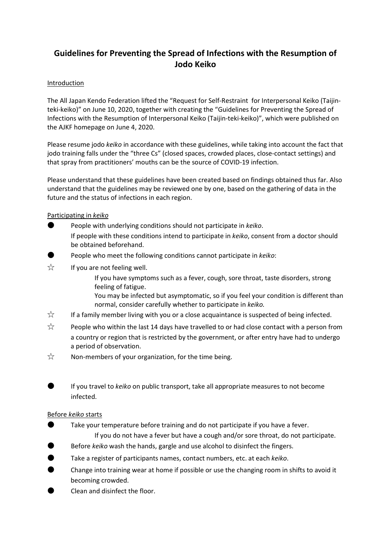# **Guidelines for Preventing the Spread of Infections with the Resumption of Jodo Keiko**

# Introduction

The All Japan Kendo Federation lifted the "Request for Self-Restraint for Interpersonal Keiko (Taijinteki-keiko)" on June 10, 2020, together with creating the "Guidelines for Preventing the Spread of Infections with the Resumption of Interpersonal Keiko (Taijin-teki-keiko)", which were published on the AJKF homepage on June 4, 2020.

Please resume jodo *keiko* in accordance with these guidelines, while taking into account the fact that jodo training falls under the "three Cs" (closed spaces, crowded places, close-contact settings) and that spray from practitioners' mouths can be the source of COVID-19 infection.

Please understand that these guidelines have been created based on findings obtained thus far. Also understand that the guidelines may be reviewed one by one, based on the gathering of data in the future and the status of infections in each region.

# Participating in *keiko*

- People with underlying conditions should not participate in *keiko*.
	- If people with these conditions intend to participate in *keiko*, consent from a doctor should be obtained beforehand.
- People who meet the following conditions cannot participate in *keiko*:
- $\overrightarrow{x}$  If you are not feeling well.
	- If you have symptoms such as a fever, cough, sore throat, taste disorders, strong feeling of fatigue.
	- You may be infected but asymptomatic, so if you feel your condition is different than normal, consider carefully whether to participate in *keiko.*
- ☆ If a family member living with you or a close acquaintance is suspected of being infected.
- $\hat{\mathbb{X}}$  People who within the last 14 days have travelled to or had close contact with a person from a country or region that is restricted by the government, or after entry have had to undergo a period of observation.
- $\overrightarrow{\chi}$  Non-members of your organization, for the time being.
	- If you travel to *keiko* on public transport, take all appropriate measures to not become infected.

# Before *keiko* starts

- Take your temperature before training and do not participate if you have a fever. If you do not have a fever but have a cough and/or sore throat, do not participate.
- Before *keiko* wash the hands, gargle and use alcohol to disinfect the fingers.
- Take a register of participants names, contact numbers, etc. at each *keiko*.
- Change into training wear at home if possible or use the changing room in shifts to avoid it becoming crowded.
- Clean and disinfect the floor.